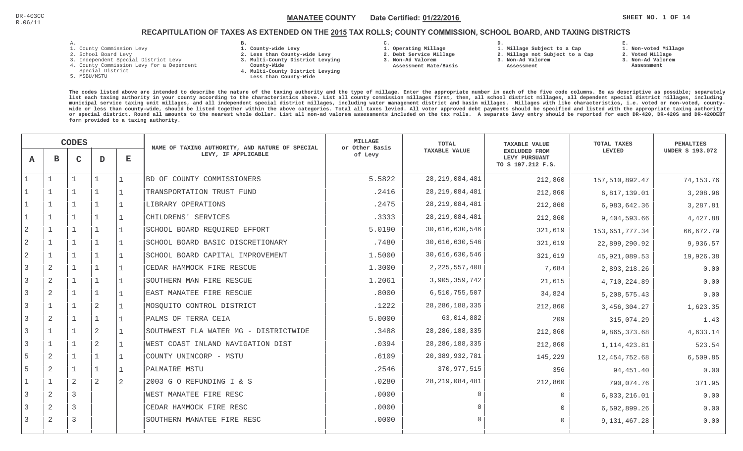**1. Non-voted Millage**

# RECAPITULATION OF TAXES AS EXTENDED ON THE <u>2015</u> TAX ROLLS; COUNTY COMMISSION, SCHOOL BOARD, AND TAXING DISTRICTS

- 1. County Commission Levy
- 2. School Board Levy
- 3. Independent Special District Levy
- 4. County Commission Levy for a Dependent
- Special District
- 5. MSBU/MSTU
- **B. 1. County-wide Levy**
- **2. Less than County-wide Levy**
- **3. Multi-County District Levying**
- **County-Wide** 
	- **4. Multi-County District Levying Less than County-Wide**
- **C. 3. Non-Ad Valorem**

 **Assessment Rate/Basis**

- **1. Operating Millage 2. Debt Service Millage**
- **D. 1. Millage Subject to a Cap**
	- **2. Millage not Subject to a Cap3. Non-Ad Valorem**
	- **Assessment**
- 
- **2. Voted Millage 3. Non-Ad Valorem Assessment**

**E.**

|                |                | <b>CODES</b> |                |                | NAME OF TAXING AUTHORITY, AND NATURE OF SPECIAL | MILLAGE<br>or Other Basis | TOTAL                | <b>TAXABLE VALUE</b>                                | TOTAL TAXES     | <b>PENALTIES</b>       |
|----------------|----------------|--------------|----------------|----------------|-------------------------------------------------|---------------------------|----------------------|-----------------------------------------------------|-----------------|------------------------|
| $\mathbf{A}$   | в              | $\mathbf C$  | D              | $\mathbf E$    | LEVY, IF APPLICABLE                             | of Levy                   | <b>TAXABLE VALUE</b> | EXCLUDED FROM<br>LEVY PURSUANT<br>TO S 197.212 F.S. | LEVIED          | <b>UNDER S 193.072</b> |
|                |                |              | $\mathbf{1}$   |                | BD OF COUNTY COMMISSIONERS                      | 5.5822                    | 28, 219, 084, 481    | 212,860                                             | 157,510,892.47  | 74,153.76              |
|                |                |              |                |                | TRANSPORTATION TRUST FUND                       | .2416                     | 28, 219, 084, 481    | 212,860                                             | 6,817,139.01    | 3,208.96               |
|                | 1              |              |                | $\overline{1}$ | LIBRARY OPERATIONS                              | .2475                     | 28, 219, 084, 481    | 212,860                                             | 6,983,642.36    | 3,287.81               |
|                | $\mathbf 1$    |              | $\mathbf{1}$   | 1              | CHILDRENS' SERVICES                             | .3333                     | 28, 219, 084, 481    | 212,860                                             | 9,404,593.66    | 4,427.88               |
| 2              | $\mathbf{1}$   |              | $\mathbf{1}$   |                | SCHOOL BOARD REQUIRED EFFORT                    | 5.0190                    | 30,616,630,546       | 321,619                                             | 153,651,777.34  | 66,672.79              |
| $\overline{2}$ | $\mathbf 1$    |              | $\overline{1}$ |                | SCHOOL BOARD BASIC DISCRETIONARY                | .7480                     | 30,616,630,546       | 321,619                                             | 22,899,290.92   | 9,936.57               |
| $\overline{2}$ | $\mathbf{1}$   |              | $\mathbf{1}$   |                | SCHOOL BOARD CAPITAL IMPROVEMENT                | 1.5000                    | 30,616,630,546       | 321,619                                             | 45, 921, 089.53 | 19,926.38              |
|                | 2              |              |                |                | CEDAR HAMMOCK FIRE RESCUE                       | 1.3000                    | 2, 225, 557, 408     | 7,684                                               | 2,893,218.26    | 0.00                   |
| 3              | 2              |              |                |                | SOUTHERN MAN FIRE RESCUE                        | 1.2061                    | 3,905,359,742        | 21,615                                              | 4,710,224.89    | 0.00                   |
|                | 2              |              | $\mathbf 1$    |                | EAST MANATEE FIRE RESCUE                        | .8000                     | 6,510,755,507        | 34,824                                              | 5, 208, 575. 43 | 0.00                   |
| 3              | 1              | $\mathbf{1}$ | 2              |                | MOSOUITO CONTROL DISTRICT                       | .1222                     | 28, 286, 188, 335    | 212,860                                             | 3, 456, 304. 27 | 1,623.35               |
| 3              | 2              |              | $\mathbf{1}$   |                | PALMS OF TERRA CEIA                             | 5.0000                    | 63,014,882           | 209                                                 | 315,074.29      | 1.43                   |
| 3              | $\mathbf{1}$   |              | 2              |                | SOUTHWEST FLA WATER MG - DISTRICTWIDE           | .3488                     | 28, 286, 188, 335    | 212,860                                             | 9,865,373.68    | 4,633.14               |
| 3              | $\mathbf 1$    |              | 2              |                | WEST COAST INLAND NAVIGATION DIST               | .0394                     | 28, 286, 188, 335    | 212,860                                             | 1, 114, 423.81  | 523.54                 |
| 5              | 2              |              | $\mathbf{1}$   |                | COUNTY UNINCORP - MSTU                          | .6109                     | 20,389,932,781       | 145,229                                             | 12, 454, 752.68 | 6, 509.85              |
| 5              | 2              |              |                |                | PALMAIRE MSTU                                   | .2546                     | 370, 977, 515        | 356                                                 | 94,451.40       | 0.00                   |
|                |                | 2            | 2              | $\sqrt{2}$     | 2003 G O REFUNDING I & S                        | .0280                     | 28, 219, 084, 481    | 212,860                                             | 790,074.76      | 371.95                 |
| 3              | 2              | 3            |                |                | WEST MANATEE FIRE RESC                          | .0000                     |                      | $\Omega$                                            | 6,833,216.01    | 0.00                   |
| 3              | $\overline{a}$ | 3            |                |                | CEDAR HAMMOCK FIRE RESC                         | .0000                     |                      | $\Omega$                                            | 6,592,899.26    | 0.00                   |
|                | 2              | 3            |                |                | SOUTHERN MANATEE FIRE RESC                      | .0000                     | $\cap$               | $\Omega$                                            | 9,131,467.28    | 0.00                   |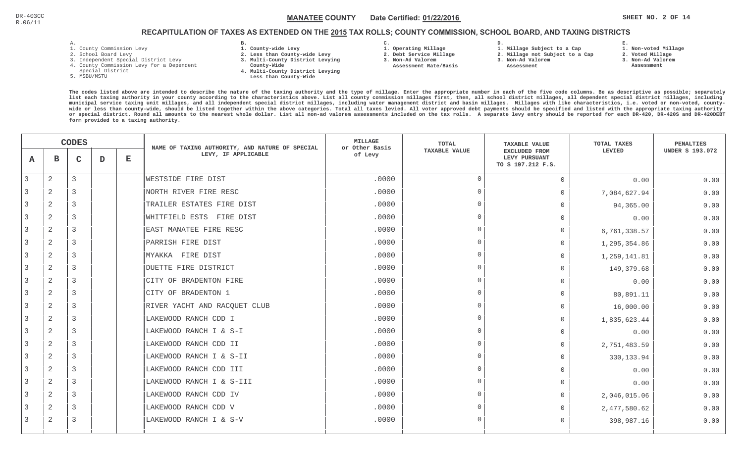# RECAPITULATION OF TAXES AS EXTENDED ON THE <u>2015</u> TAX ROLLS; COUNTY COMMISSION, SCHOOL BOARD, AND TAXING DISTRICTS

- 1. County Commission Levy
- 2. School Board Levy
- 3. Independent Special District Levy
- 4. County Commission Levy for a Dependent
- Special District
- 5. MSBU/MSTU
- **B. 1. County-wide Levy**
- **2. Less than County-wide Levy**
- **3. Multi-County District Levying**
- **County-Wide** 
	- **4. Multi-County District Levying Less than County-Wide**

**C. 1. Operating Millage** 

 **2. Debt Service Millage 3. Non-Ad Valorem Assessment Rate/Basis**

- 
- **1. Millage Subject to a Cap**

**D.** 

- **2. Millage not Subject to a Cap**
- **3. Non-Ad Valorem Assessment** 
	- -
- **1. Non-voted Millage**

**E.**

- **2. Voted Millage**
- **3. Non-Ad Valorem**
- **Assessment**

|   |                | <b>CODES</b> |   |             | NAME OF TAXING AUTHORITY, AND NATURE OF SPECIAL | <b>MILLAGE</b><br>or Other Basis | <b>TOTAL</b>         | <b>TAXABLE VALUE</b>                                | <b>TOTAL TAXES</b> | <b>PENALTIES</b>       |
|---|----------------|--------------|---|-------------|-------------------------------------------------|----------------------------------|----------------------|-----------------------------------------------------|--------------------|------------------------|
| A | в              | C            | D | $\mathbf E$ | LEVY, IF APPLICABLE                             | of Levy                          | <b>TAXABLE VALUE</b> | EXCLUDED FROM<br>LEVY PURSUANT<br>TO S 197.212 F.S. | LEVIED             | <b>UNDER S 193.072</b> |
| 3 | 2              | 3            |   |             | WESTSIDE FIRE DIST                              | .0000                            | $\Omega$             | $\Omega$                                            | 0.00               | 0.00                   |
|   | 2              | 3            |   |             | NORTH RIVER FIRE RESC                           | .0000                            | $\Omega$             | $\overline{0}$                                      | 7,084,627.94       | 0.00                   |
|   | 2              | 3            |   |             | TRAILER ESTATES FIRE DIST                       | .0000                            | $\Omega$             | $\Omega$                                            | 94,365.00          | 0.00                   |
| 3 | 2              | 3            |   |             | WHITFIELD ESTS FIRE DIST                        | .0000                            | $\Omega$             | $\Omega$                                            | 0.00               | 0.00                   |
| 3 | 2              | 3            |   |             | EAST MANATEE FIRE RESC                          | .0000                            | $\Omega$             | $\Omega$                                            | 6,761,338.57       | 0.00                   |
|   | 2              | 3            |   |             | PARRISH FIRE DIST                               | .0000                            | $\Omega$             | $\Omega$                                            | 1,295,354.86       | 0.00                   |
|   | 2              | 3            |   |             | MYAKKA FIRE DIST                                | .0000                            | $\Omega$             | $\Omega$                                            | 1,259,141.81       | 0.00                   |
| 3 | 2              | 3            |   |             | DUETTE FIRE DISTRICT                            | .0000                            | $\Omega$             | $\Omega$                                            | 149,379.68         | 0.00                   |
|   | 2              | 3            |   |             | CITY OF BRADENTON FIRE                          | .0000                            | $\Omega$             | $\Omega$                                            | 0.00               | 0.00                   |
| 3 | 2              | 3            |   |             | CITY OF BRADENTON 1                             | .0000                            | $\Omega$             | $\Omega$                                            | 80,891.11          | 0.00                   |
| 3 | 2              | 3            |   |             | RIVER YACHT AND RACQUET CLUB                    | .0000                            | $\Omega$             | $\Omega$                                            | 16,000.00          | 0.00                   |
| 3 | 2              | 3            |   |             | LAKEWOOD RANCH CDD I                            | .0000                            | $\Omega$             | 0                                                   | 1,835,623.44       | 0.00                   |
|   | 2              | 3            |   |             | LAKEWOOD RANCH I & S-I                          | .0000                            | $\Omega$             | $\Omega$                                            | 0.00               | 0.00                   |
|   | 2              | 3            |   |             | LAKEWOOD RANCH CDD II                           | .0000                            | $\Omega$             | $\overline{0}$                                      | 2,751,483.59       | 0.00                   |
| 3 | $\overline{a}$ | 3            |   |             | LAKEWOOD RANCH I & S-II                         | .0000                            | $\Omega$             | $\Omega$                                            | 330, 133.94        | 0.00                   |
|   | 2              | 3            |   |             | LAKEWOOD RANCH CDD III                          | .0000                            | $\Omega$             | $\Omega$                                            | 0.00               | 0.00                   |
| 3 | 2              | 3            |   |             | LAKEWOOD RANCH I & S-III                        | .0000                            | $\Omega$             | $\Omega$                                            | 0.00               | 0.00                   |
| 3 | 2              | 3            |   |             | LAKEWOOD RANCH CDD IV                           | .0000                            | $\Omega$             | $\circ$                                             | 2,046,015.06       | 0.00                   |
| 3 | $\overline{2}$ | 3            |   |             | LAKEWOOD RANCH CDD V                            | .0000                            | $\Omega$             | $\Omega$                                            | 2,477,580.62       | 0.00                   |
| 3 | 2              | 3            |   |             | LAKEWOOD RANCH I & S-V                          | .0000                            | $\Omega$             | $\Omega$                                            | 398,987.16         | 0.00                   |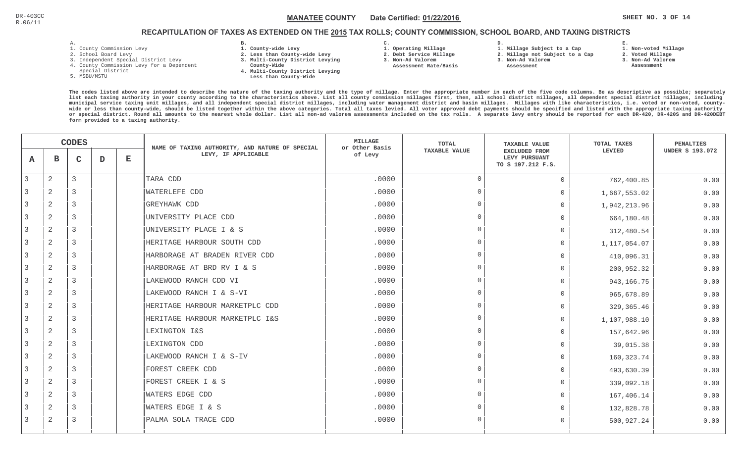**1. Non-voted Millage**

# RECAPITULATION OF TAXES AS EXTENDED ON THE <u>2015</u> TAX ROLLS; COUNTY COMMISSION, SCHOOL BOARD, AND TAXING DISTRICTS

- 1. County Commission Levy
- 2. School Board Levy
- 3. Independent Special District Levy
- 4. County Commission Levy for a Dependent
- Special District
- 5. MSBU/MSTU
- **B. 1. County-wide Levy**
- **2. Less than County-wide Levy**
- **3. Multi-County District Levying**
- **County-Wide** 
	- **4. Multi-County District Levying Less than County-Wide**

**C.** 

**3. Non-Ad Valorem Assessment Rate/Basis**

- **1. Operating Millage 2. Debt Service Millage**
- **1. Millage Subject to a Cap**

**D.** 

- **2. Millage not Subject to a Cap3. Non-Ad Valorem**
	- **Assessment**
- 
- **2. Voted Millage 3. Non-Ad Valorem Assessment**

**E.**

|   | <b>CODES</b>   |   |   | NAME OF TAXING AUTHORITY, AND NATURE OF SPECIAL | <b>MILLAGE</b><br>or Other Basis | <b>TOTAL</b> | <b>TAXABLE VALUE</b> | <b>TOTAL TAXES</b>                                  | <b>PENALTIES</b> |                        |
|---|----------------|---|---|-------------------------------------------------|----------------------------------|--------------|----------------------|-----------------------------------------------------|------------------|------------------------|
| A | в              | C | D | $\mathbf E$                                     | LEVY, IF APPLICABLE              | of Levy      | <b>TAXABLE VALUE</b> | EXCLUDED FROM<br>LEVY PURSUANT<br>TO S 197.212 F.S. | LEVIED           | <b>UNDER S 193.072</b> |
| 3 | $\overline{a}$ | 3 |   |                                                 | TARA CDD                         | .0000        | $\overline{0}$       | $\Omega$                                            | 762,400.85       | 0.00                   |
|   | 2              | 3 |   |                                                 | <b>WATERLEFE CDD</b>             | .0000        | $\Omega$             | 0                                                   | 1,667,553.02     | 0.00                   |
|   | 2              | 3 |   |                                                 | <b>GREYHAWK CDD</b>              | .0000        | $\Omega$             | $\Omega$                                            | 1,942,213.96     | 0.00                   |
| 3 | 2              | 3 |   |                                                 | UNIVERSITY PLACE CDD             | .0000        | $\Omega$             | $\Omega$                                            | 664,180.48       | 0.00                   |
| 3 | $\mathbf{2}$   | 3 |   |                                                 | UNIVERSITY PLACE I & S           | .0000        | $\Omega$             | $\Omega$                                            | 312,480.54       | 0.00                   |
|   | 2              | 3 |   |                                                 | HERITAGE HARBOUR SOUTH CDD       | .0000        | $\Omega$             | $\Omega$                                            | 1,117,054.07     | 0.00                   |
| 3 | $\mathbf{2}$   | 3 |   |                                                 | HARBORAGE AT BRADEN RIVER CDD    | .0000        | $\Omega$             | $\Omega$                                            | 410,096.31       | 0.00                   |
|   | 2              | 3 |   |                                                 | HARBORAGE AT BRD RV I & S        | .0000        | $\Omega$             | $\Omega$                                            | 200,952.32       | 0.00                   |
|   | 2              | 3 |   |                                                 | LAKEWOOD RANCH CDD VI            | .0000        | $\Omega$             | $\Omega$                                            | 943, 166. 75     | 0.00                   |
|   | 2              | 3 |   |                                                 | LAKEWOOD RANCH I & S-VI          | .0000        | $\Omega$             | $\Omega$                                            | 965,678.89       | 0.00                   |
| 3 | 2              | 3 |   |                                                 | HERITAGE HARBOUR MARKETPLC CDD   | .0000        | $\Omega$             | $\Omega$                                            | 329, 365.46      | 0.00                   |
| 3 | $\overline{a}$ | 3 |   |                                                 | HERITAGE HARBOUR MARKETPLC I&S   | .0000        | $\Omega$             | $\Omega$                                            | 1,107,988.10     | 0.00                   |
| 3 | 2              | 3 |   |                                                 | LEXINGTON I&S                    | .0000        | $\Omega$             | $\Omega$                                            | 157,642.96       | 0.00                   |
|   | $\mathbf{2}$   | 3 |   |                                                 | LEXINGTON CDD                    | .0000        | $\Omega$             | $\Omega$                                            | 39,015.38        | 0.00                   |
|   | 2              | 3 |   |                                                 | LAKEWOOD RANCH I & S-IV          | .0000        | $\Omega$             | $\Omega$                                            | 160, 323.74      | 0.00                   |
|   | 2              | 3 |   |                                                 | FOREST CREEK CDD                 | .0000        | $\cap$               | $\Omega$                                            | 493,630.39       | 0.00                   |
|   | 2              | 3 |   |                                                 | FOREST CREEK I & S               | .0000        | $\Omega$             | $\Omega$                                            | 339,092.18       | 0.00                   |
| 3 | 2              | 3 |   |                                                 | <b>WATERS EDGE CDD</b>           | .0000        | $\Omega$             | $\Omega$                                            | 167,406.14       | 0.00                   |
| 3 | 2              | 3 |   |                                                 | WATERS EDGE I & S                | .0000        | $\Omega$             | $\Omega$                                            | 132,828.78       | 0.00                   |
| 3 | 2              | 3 |   |                                                 | PALMA SOLA TRACE CDD             | .0000        | $\Omega$             | $\Omega$                                            | 500,927.24       | 0.00                   |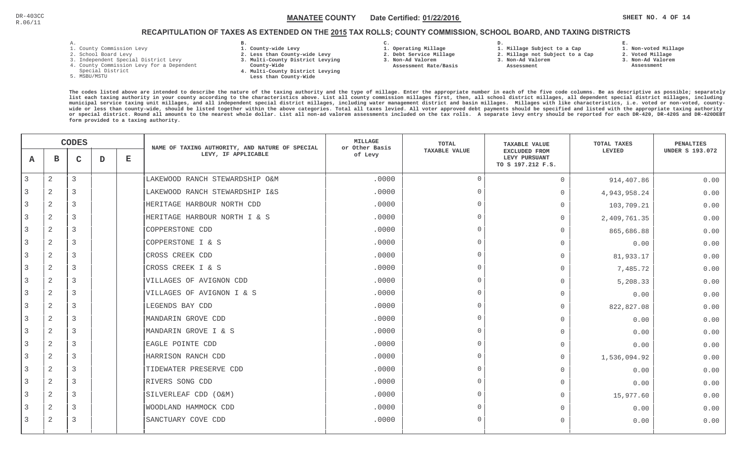# RECAPITULATION OF TAXES AS EXTENDED ON THE <u>2015</u> TAX ROLLS; COUNTY COMMISSION, SCHOOL BOARD, AND TAXING DISTRICTS

- 1. County Commission Levy
- 2. School Board Levy
- 3. Independent Special District Levy
- 4. County Commission Levy for a Dependent
- Special District
- 5. MSBU/MSTU
- **B. 1. County-wide Levy**
- **2. Less than County-wide Levy**
- **3. Multi-County District Levying**
- **County-Wide** 
	- **4. Multi-County District Levying Less than County-Wide**
- **C.**
- **1. Operating Millage**
- **2. Debt Service Millage 3. Non-Ad Valorem**
- **Assessment Rate/Basis**
- **2. Millage not Subject to a Cap**

**D.** 

**3. Non-Ad Valorem**

**1. Millage Subject to a Cap**

 **Assessment** 

**1. Non-voted Millage**

**E.**

- **2. Voted Millage**
- **3. Non-Ad Valorem**
- **Assessment**

|   |                | <b>CODES</b>   |   |             | NAME OF TAXING AUTHORITY, AND NATURE OF SPECIAL | <b>MILLAGE</b><br>or Other Basis | <b>TOTAL</b>   | <b>TAXABLE VALUE</b>                                | TOTAL TAXES  | <b>PENALTIES</b>       |
|---|----------------|----------------|---|-------------|-------------------------------------------------|----------------------------------|----------------|-----------------------------------------------------|--------------|------------------------|
| A | в              | $\mathsf{C}$   | D | $\mathbf E$ | LEVY, IF APPLICABLE                             | of Levy                          | TAXABLE VALUE  | EXCLUDED FROM<br>LEVY PURSUANT<br>TO S 197.212 F.S. | LEVIED       | <b>UNDER S 193.072</b> |
| 3 | $\overline{2}$ | 3              |   |             | LAKEWOOD RANCH STEWARDSHIP O&M                  | .0000                            | $\Omega$       | $\circ$                                             | 914,407.86   | 0.00                   |
|   | $\overline{2}$ | 3              |   |             | LAKEWOOD RANCH STEWARDSHIP I&S                  | .0000                            | $\overline{0}$ | $\circ$                                             | 4,943,958.24 | 0.00                   |
| 3 | 2              | 3              |   |             | HERITAGE HARBOUR NORTH CDD                      | .0000                            | $\Omega$       | $\mathbf{0}$                                        | 103,709.21   | 0.00                   |
| 3 | 2              | 3              |   |             | HERITAGE HARBOUR NORTH I & S                    | .0000                            | $\Omega$       | $\Omega$                                            | 2,409,761.35 | 0.00                   |
| 3 | 2              | 3              |   |             | COPPERSTONE CDD                                 | .0000                            | $\overline{0}$ | $\mathbf{0}$                                        | 865,686.88   | 0.00                   |
| 3 | 2              | 3              |   |             | COPPERSTONE I & S                               | .0000                            | $\Omega$       | $\Omega$                                            | 0.00         | 0.00                   |
|   | $\mathbf{2}$   | 3              |   |             | CROSS CREEK CDD                                 | .0000                            | $\Omega$       | $\Omega$                                            | 81,933.17    | 0.00                   |
| 3 | 2              | 3              |   |             | CROSS CREEK I & S                               | .0000                            | $\cap$         | $\overline{0}$                                      | 7,485.72     | 0.00                   |
|   | $\overline{2}$ | 3              |   |             | VILLAGES OF AVIGNON CDD                         | .0000                            | $\Omega$       | $\mathbf 0$                                         | 5,208.33     | 0.00                   |
| 3 | 2              | 3              |   |             | VILLAGES OF AVIGNON I & S                       | .0000                            | $\Omega$       | $\mathbf 0$                                         | 0.00         | 0.00                   |
| 3 | $\mathbf{2}$   | $\overline{3}$ |   |             | LEGENDS BAY CDD                                 | .0000                            | $\Omega$       | $\mathbf 0$                                         | 822,827.08   | 0.00                   |
| 3 | $\mathbf{2}$   | 3              |   |             | MANDARIN GROVE CDD                              | .0000                            | $\overline{0}$ | $\Omega$                                            | 0.00         | 0.00                   |
| 3 | 2              | 3              |   |             | MANDARIN GROVE I & S                            | .0000                            | $\Omega$       | $\mathbf{0}$                                        | 0.00         | 0.00                   |
|   | 2              | 3              |   |             | EAGLE POINTE CDD                                | .0000                            | $\Omega$       | $\Omega$                                            | 0.00         | 0.00                   |
| 3 | $\overline{c}$ | 3              |   |             | HARRISON RANCH CDD                              | .0000                            | $\Omega$       | $\mathbf{0}$                                        | 1,536,094.92 | 0.00                   |
| 3 | 2              | 3              |   |             | TIDEWATER PRESERVE CDD                          | .0000                            | $\Omega$       | $\mathbf{0}$                                        | 0.00         | 0.00                   |
| 3 | 2              | 3              |   |             | RIVERS SONG CDD                                 | .0000                            | $\Omega$       | $\Omega$                                            | 0.00         | 0.00                   |
| 3 | 2              | $\overline{3}$ |   |             | SILVERLEAF CDD (O&M)                            | .0000                            | $\Omega$       | $\mathbf{0}$                                        | 15,977.60    | 0.00                   |
|   | 2              | 3              |   |             | WOODLAND HAMMOCK CDD                            | .0000                            | $\Omega$       | $\Omega$                                            | 0.00         | 0.00                   |
| 3 | 2              | 3              |   |             | SANCTUARY COVE CDD                              | .0000                            | $\cap$         | $\Omega$                                            | 0.00         | 0.00                   |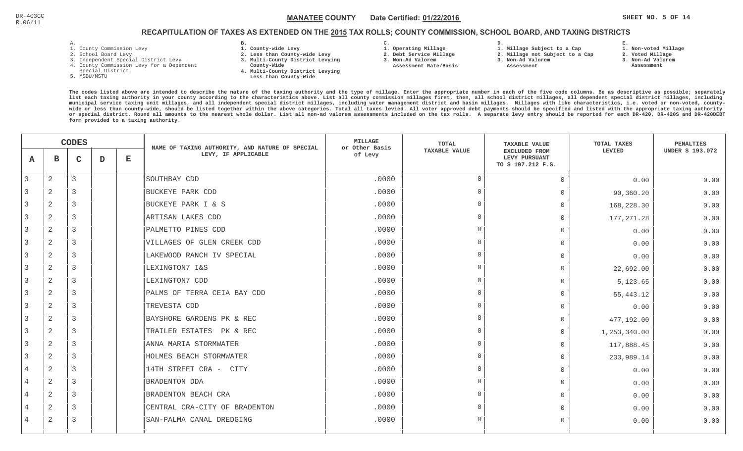# RECAPITULATION OF TAXES AS EXTENDED ON THE <u>2015</u> TAX ROLLS; COUNTY COMMISSION, SCHOOL BOARD, AND TAXING DISTRICTS

- 1. County Commission Levy
- 2. School Board Levy
- 3. Independent Special District Levy
- 4. County Commission Levy for a Dependent
- Special District
- 5. MSBU/MSTU
- **B. 1. County-wide Levy**
- **2. Less than County-wide Levy**
- **3. Multi-County District Levying**
- **County-Wide** 
	- **4. Multi-County District Levying Less than County-Wide**

**C.** 

**3. Non-Ad Valorem Assessment Rate/Basis**

- **1. Operating Millage 2. Debt Service Millage**
- **1. Millage Subject to a Cap**

**D.** 

- **2. Millage not Subject to a Cap**
- **3. Non-Ad Valorem**
	- **Assessment**

 **1. Non-voted Millage2. Voted Millage**

**E.**

- 
- **3. Non-Ad Valorem**
- **Assessment**

|                |                | <b>CODES</b> |   |             | NAME OF TAXING AUTHORITY, AND NATURE OF SPECIAL | <b>MILLAGE</b><br>or Other Basis | TOTAL                | <b>TAXABLE VALUE</b>                                | TOTAL TAXES  | <b>PENALTIES</b>       |
|----------------|----------------|--------------|---|-------------|-------------------------------------------------|----------------------------------|----------------------|-----------------------------------------------------|--------------|------------------------|
| A              | в              | $\mathsf{C}$ | D | $\mathbf E$ | LEVY, IF APPLICABLE                             | of Levy                          | <b>TAXABLE VALUE</b> | EXCLUDED FROM<br>LEVY PURSUANT<br>TO S 197.212 F.S. | LEVIED       | <b>UNDER S 193.072</b> |
| 3              | $\mathbf{2}$   | 3            |   |             | SOUTHBAY CDD                                    | .0000                            | $\Omega$             | $\Omega$                                            | 0.00         | 0.00                   |
|                | 2              | 3            |   |             | <b>BUCKEYE PARK CDD</b>                         | .0000                            | $\Omega$             | $\Omega$                                            | 90,360.20    | 0.00                   |
| 3              | 2              | 3            |   |             | BUCKEYE PARK I & S                              | .0000                            | $\overline{0}$       | $\Omega$                                            | 168,228.30   | 0.00                   |
| 3              | 2              | 3            |   |             | ARTISAN LAKES CDD                               | .0000                            | $\Omega$             | $\Omega$                                            | 177, 271.28  | 0.00                   |
| 3              | $\mathbf{2}$   | 3            |   |             | PALMETTO PINES CDD                              | .0000                            | $\Omega$             | $\overline{0}$                                      | 0.00         | 0.00                   |
| 3              | $\overline{2}$ | 3            |   |             | VILLAGES OF GLEN CREEK CDD                      | .0000                            | $\Omega$             | $\Omega$                                            | 0.00         | 0.00                   |
|                | 2              | 3            |   |             | LAKEWOOD RANCH IV SPECIAL                       | .0000                            | $\Omega$             | $\Omega$                                            | 0.00         | 0.00                   |
| 3              | $\mathbf{2}$   | 3            |   |             | LEXINGTON7 I&S                                  | .0000                            | $\Omega$             | $\Omega$                                            | 22,692.00    | 0.00                   |
| 3              | $\mathbf{2}$   | 3            |   |             | LEXINGTON7 CDD                                  | .0000                            | $\Omega$             | $\Omega$                                            | 5,123.65     | 0.00                   |
|                | 2              | 3            |   |             | PALMS OF TERRA CEIA BAY CDD                     | .0000                            | $\Omega$             | $\Omega$                                            | 55, 443.12   | 0.00                   |
| 3              | 2              | 3            |   |             | TREVESTA CDD                                    | .0000                            | $\Omega$             | $\Omega$                                            | 0.00         | 0.00                   |
| 3              | $\mathbf{2}$   | 3            |   |             | BAYSHORE GARDENS PK & REC                       | .0000                            | $\Omega$             | $\Omega$                                            | 477,192.00   | 0.00                   |
| 3              | 2              | 3            |   |             | TRAILER ESTATES PK & REC                        | .0000                            | $\Omega$             | $\Omega$                                            | 1,253,340.00 | 0.00                   |
|                | 2              | 3            |   |             | ANNA MARIA STORMWATER                           | .0000                            | $\Omega$             | $\Omega$                                            | 117,888.45   | 0.00                   |
| 3              | 2              | 3            |   |             | HOLMES BEACH STORMWATER                         | .0000                            | $\Omega$             | $\overline{0}$                                      | 233,989.14   | 0.00                   |
| 4              | 2              | 3            |   |             | 14TH STREET CRA - CITY                          | .0000                            | $\cap$               | $\Omega$                                            | 0.00         | 0.00                   |
| $\overline{4}$ | $\mathbf{2}$   | 3            |   |             | <b>BRADENTON DDA</b>                            | .0000                            | $\Omega$             | $\Omega$                                            | 0.00         | 0.00                   |
| $\overline{4}$ | 2              | 3            |   |             | BRADENTON BEACH CRA                             | .0000                            | $\Omega$             | $\Omega$                                            | 0.00         | 0.00                   |
|                | $\mathbf{2}$   | 3            |   |             | CENTRAL CRA-CITY OF BRADENTON                   | .0000                            | $\Omega$             | $\Omega$                                            | 0.00         | 0.00                   |
| 4              | 2              | 3            |   |             | SAN-PALMA CANAL DREDGING                        | .0000                            | $\Omega$             | $\Omega$                                            | 0.00         | 0.00                   |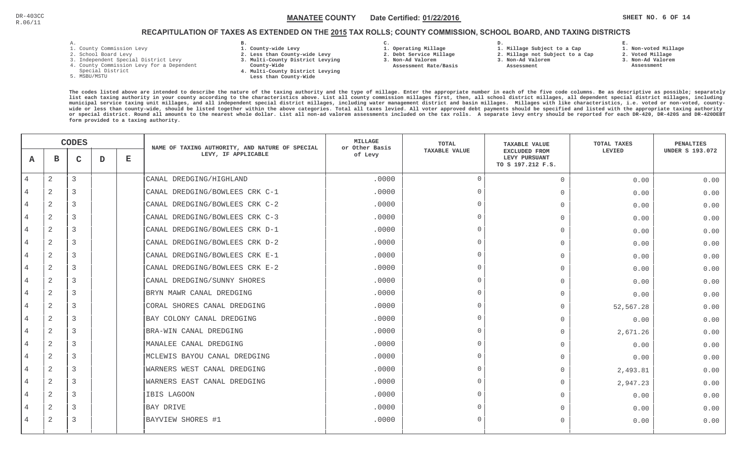**1. Non-voted Millage**

# RECAPITULATION OF TAXES AS EXTENDED ON THE <u>2015</u> TAX ROLLS; COUNTY COMMISSION, SCHOOL BOARD, AND TAXING DISTRICTS

- 1. County Commission Levy
- 2. School Board Levy
- 3. Independent Special District Levy
- 4. County Commission Levy for a Dependent
- Special District
- 5. MSBU/MSTU
- **B. 1. County-wide Levy**
- **2. Less than County-wide Levy**
- **3. Multi-County District Levying**
- **County-Wide** 
	- **4. Multi-County District Levying Less than County-Wide**

**C.** 

**3. Non-Ad Valorem Assessment Rate/Basis**

- **1. Operating Millage 2. Debt Service Millage**
- **1. Millage Subject to a Cap**

**D.** 

- **2. Millage not Subject to a Cap3. Non-Ad Valorem**
	- **Assessment**
- 
- **3. Non-Ad Valorem Assessment**

**E.**

**2. Voted Millage**

|                | <b>CODES</b>   |   |   | NAME OF TAXING AUTHORITY, AND NATURE OF SPECIAL | <b>MILLAGE</b><br>or Other Basis | <b>TOTAL</b> | <b>TAXABLE VALUE</b> | <b>TOTAL TAXES</b>                                         | <b>PENALTIES</b> |                        |
|----------------|----------------|---|---|-------------------------------------------------|----------------------------------|--------------|----------------------|------------------------------------------------------------|------------------|------------------------|
| A              | в              | C | D | $\mathbf E$                                     | LEVY, IF APPLICABLE              | of Levy      | <b>TAXABLE VALUE</b> | <b>EXCLUDED FROM</b><br>LEVY PURSUANT<br>TO S 197.212 F.S. | LEVIED           | <b>UNDER S 193.072</b> |
| $\overline{4}$ | $\mathbf{2}$   | 3 |   |                                                 | CANAL DREDGING/HIGHLAND          | .0000        | $\Omega$             | $\mathbf 0$                                                | 0.00             | 0.00                   |
|                | 2              | 3 |   |                                                 | CANAL DREDGING/BOWLEES CRK C-1   | .0000        | $\cap$               | $\mathbf 0$                                                | 0.00             | 0.00                   |
| 4              | 2              | 3 |   |                                                 | CANAL DREDGING/BOWLEES CRK C-2   | .0000        |                      | $\Omega$                                                   | 0.00             | 0.00                   |
| $\overline{4}$ | 2              | 3 |   |                                                 | CANAL DREDGING/BOWLEES CRK C-3   | .0000        | $\cap$               | $\Omega$                                                   | 0.00             | 0.00                   |
| $\overline{4}$ | $\mathbf{2}$   | 3 |   |                                                 | CANAL DREDGING/BOWLEES CRK D-1   | .0000        | $\cap$               | $\overline{0}$                                             | 0.00             | 0.00                   |
|                | 2              | 3 |   |                                                 | CANAL DREDGING/BOWLEES CRK D-2   | .0000        | $\Omega$             | $\bigcap$                                                  | 0.00             | 0.00                   |
| $\overline{4}$ | $\mathbf{2}$   | 3 |   |                                                 | CANAL DREDGING/BOWLEES CRK E-1   | .0000        | $\cap$               | $\mathbf 0$                                                | 0.00             | 0.00                   |
|                | 2              | 3 |   |                                                 | CANAL DREDGING/BOWLEES CRK E-2   | .0000        |                      | $\Omega$                                                   | 0.00             | 0.00                   |
|                | 2              | 3 |   |                                                 | CANAL DREDGING/SUNNY SHORES      | .0000        | $\cap$               | $\mathbf 0$                                                | 0.00             | 0.00                   |
|                | 2              | 3 |   |                                                 | BRYN MAWR CANAL DREDGING         | .0000        |                      | $\bigcap$                                                  | 0.00             | 0.00                   |
| $\overline{4}$ | 2              | 3 |   |                                                 | CORAL SHORES CANAL DREDGING      | .0000        | $\cap$               | $\Omega$                                                   | 52,567.28        | 0.00                   |
| 4              | 2              | 3 |   |                                                 | BAY COLONY CANAL DREDGING        | .0000        | $\cap$               | $\Omega$                                                   | 0.00             | 0.00                   |
|                | 2              | 3 |   |                                                 | BRA-WIN CANAL DREDGING           | .0000        | $\Omega$             | $\Omega$                                                   | 2,671.26         | 0.00                   |
| 4              | $\mathbf{2}$   | 3 |   |                                                 | MANALEE CANAL DREDGING           | .0000        | $\cap$               | $\Omega$                                                   | 0.00             | 0.00                   |
|                | 2              | 3 |   |                                                 | MCLEWIS BAYOU CANAL DREDGING     | .0000        |                      | $\bigcap$                                                  | 0.00             | 0.00                   |
|                | $\overline{2}$ | 3 |   |                                                 | WARNERS WEST CANAL DREDGING      | .0000        |                      | $\mathbf 0$                                                | 2,493.81         | 0.00                   |
|                | 2              | 3 |   |                                                 | WARNERS EAST CANAL DREDGING      | .0000        |                      | $\overline{0}$                                             | 2,947.23         | 0.00                   |
| 4              | 2              | 3 |   |                                                 | IBIS LAGOON                      | .0000        | $\cap$               | $\overline{0}$                                             | 0.00             | 0.00                   |
|                | 2              | 3 |   |                                                 | <b>BAY DRIVE</b>                 | .0000        | $\cap$               | $\Omega$                                                   | 0.00             | 0.00                   |
| $\overline{4}$ | 2              | 3 |   |                                                 | BAYVIEW SHORES #1                | .0000        | $\cap$               | $\bigcap$                                                  | 0.00             | 0.00                   |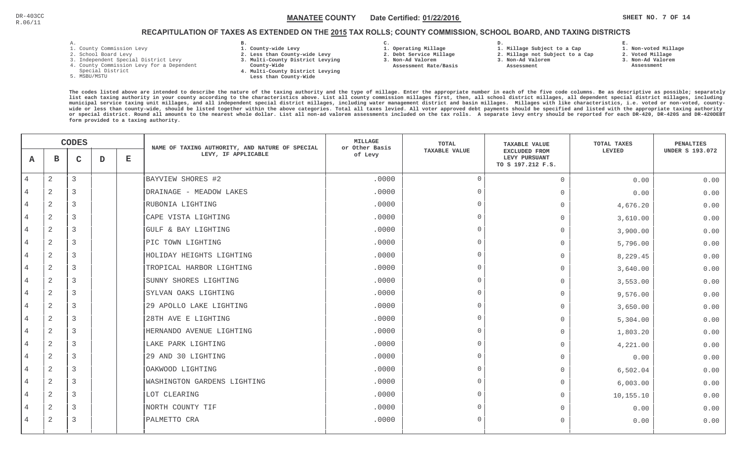**1. Non-voted Millage**

# RECAPITULATION OF TAXES AS EXTENDED ON THE <u>2015</u> TAX ROLLS; COUNTY COMMISSION, SCHOOL BOARD, AND TAXING DISTRICTS

- 1. County Commission Levy
- 2. School Board Levy
- 3. Independent Special District Levy
- 4. County Commission Levy for a Dependent
- Special District
- 5. MSBU/MSTU
- **B. 1. County-wide Levy**
- **2. Less than County-wide Levy**
- **3. Multi-County District Levying**
- **County-Wide** 
	- **4. Multi-County District Levying Less than County-Wide**
- **C.**
- **1. Operating Millage**

 **Assessment Rate/Basis**

- **2. Debt Service Millage**
- **3. Non-Ad Valorem**
- **2. Millage not Subject to a Cap3. Non-Ad Valorem**

**D.** 

 **Assessment** 

**1. Millage Subject to a Cap**

- 
- **3. Non-Ad Valorem Assessment**

**E.**

**2. Voted Millage**

|                |                | <b>CODES</b> |   |   | NAME OF TAXING AUTHORITY, AND NATURE OF SPECIAL | <b>MILLAGE</b><br>or Other Basis | TOTAL                | <b>TAXABLE VALUE</b>                                       | TOTAL TAXES | PENALTIES              |
|----------------|----------------|--------------|---|---|-------------------------------------------------|----------------------------------|----------------------|------------------------------------------------------------|-------------|------------------------|
| A              | в              | $\mathsf{C}$ | D | E | LEVY, IF APPLICABLE                             | of Levy                          | <b>TAXABLE VALUE</b> | <b>EXCLUDED FROM</b><br>LEVY PURSUANT<br>TO S 197.212 F.S. | LEVIED      | <b>UNDER S 193.072</b> |
| 4              | $\overline{2}$ | 3            |   |   | BAYVIEW SHORES #2                               | .0000                            | $\Omega$             | $\overline{0}$                                             | 0.00        | 0.00                   |
|                | 2              | 3            |   |   | DRAINAGE - MEADOW LAKES                         | .0000                            | $\cap$               | $\Omega$                                                   | 0.00        | 0.00                   |
| $\overline{4}$ | 2              | 3            |   |   | RUBONIA LIGHTING                                | .0000                            |                      | $\bigcap$                                                  | 4,676.20    | 0.00                   |
| $\overline{4}$ | 2              | 3            |   |   | CAPE VISTA LIGHTING                             | .0000                            | $\cap$               | $\Omega$                                                   | 3,610.00    | 0.00                   |
| 4              | 2              | 3            |   |   | GULF & BAY LIGHTING                             | .0000                            | $\Omega$             | $\bigcap$                                                  | 3,900.00    | 0.00                   |
| $\overline{4}$ | 2              | 3            |   |   | PIC TOWN LIGHTING                               | .0000                            | $\cap$               | $\bigcap$                                                  | 5,796.00    | 0.00                   |
|                | 2              | 3            |   |   | HOLIDAY HEIGHTS LIGHTING                        | .0000                            |                      | $\bigcap$                                                  | 8,229.45    | 0.00                   |
| 4              | 2              | 3            |   |   | TROPICAL HARBOR LIGHTING                        | .0000                            |                      | $\overline{0}$                                             | 3,640.00    | 0.00                   |
| 4              | 2              | 3            |   |   | SUNNY SHORES LIGHTING                           | .0000                            |                      | $\bigcap$                                                  | 3,553.00    | 0.00                   |
| 4              | 2              | 3            |   |   | SYLVAN OAKS LIGHTING                            | .0000                            | $\cap$               | $\Omega$                                                   | 9,576.00    | 0.00                   |
| $\overline{4}$ | $\mathbf{2}$   | 3            |   |   | 29 APOLLO LAKE LIGHTING                         | .0000                            | $\cap$               | $\bigcap$                                                  | 3,650.00    | 0.00                   |
|                | $\mathbf{2}$   | 3            |   |   | 28TH AVE E LIGHTING                             | .0000                            | $\cap$               | $\Omega$                                                   | 5,304.00    | 0.00                   |
| $\overline{4}$ | 2              | 3            |   |   | HERNANDO AVENUE LIGHTING                        | .0000                            | $\cap$               | $\bigcap$                                                  | 1,803.20    | 0.00                   |
|                | 2              | 3            |   |   | LAKE PARK LIGHTING                              | .0000                            |                      | $\Omega$                                                   | 4,221.00    | 0.00                   |
| 4              | 2              | 3            |   |   | 29 AND 30 LIGHTING                              | .0000                            |                      | $\Omega$                                                   | 0.00        | 0.00                   |
| $\overline{4}$ | 2              | 3            |   |   | OAKWOOD LIGHTING                                | .0000                            |                      | $\Omega$                                                   | 6,502.04    | 0.00                   |
| $\overline{4}$ | 2              | 3            |   |   | <b>WASHINGTON GARDENS LIGHTING</b>              | .0000                            |                      | $\bigcap$                                                  | 6,003.00    | 0.00                   |
| $\overline{4}$ | 2              | 3            |   |   | LOT CLEARING                                    | .0000                            | $\cap$               | $\Omega$                                                   | 10,155.10   | 0.00                   |
|                | $\overline{2}$ | 3            |   |   | NORTH COUNTY TIF                                | .0000                            | $\Omega$             | $\Omega$                                                   | 0.00        | 0.00                   |
| 4              | 2              | 3            |   |   | PALMETTO CRA                                    | .0000                            | $\cap$               | $\Omega$                                                   | 0.00        | 0.00                   |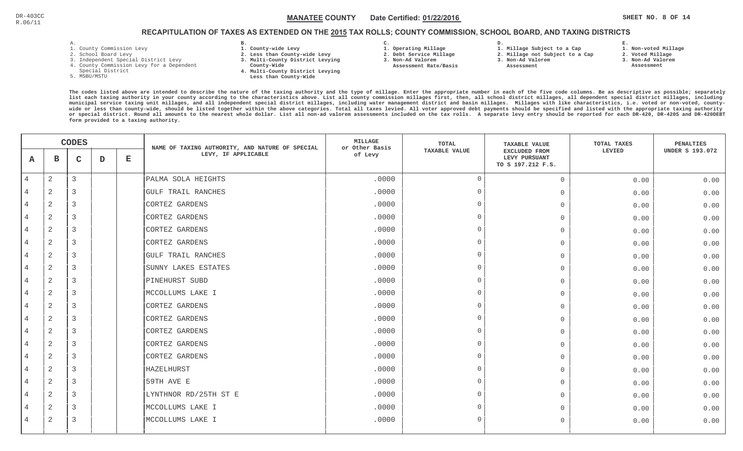# RECAPITULATION OF TAXES AS EXTENDED ON THE <u>2015</u> TAX ROLLS; COUNTY COMMISSION, SCHOOL BOARD, AND TAXING DISTRICTS

| - |  |  |  |
|---|--|--|--|

- 1. County Commission Levy
- 2. School Board Levy
- 3. Independent Special District Levy
- 4. County Commission Levy for a Dependent
- Special District
- 5. MSBU/MSTU
- **B. 1. County-wide Levy**
- **2. Less than County-wide Levy**
- **3. Multi-County District Levying**
- **County-Wide** 
	- **4. Multi-County District Levying Less than County-Wide**
- **C. 1. Operating Millage 3. Non-Ad Valorem**

**2. Debt Service Millage** 

 **Assessment Rate/Basis**

- 
- **1. Millage Subject to a Cap**

**D.** 

- **2. Millage not Subject to a Cap**
- **3. Non-Ad Valorem**
	- **Assessment**

**1. Non-voted Millage**

**E.**

- **2. Voted Millage**
- **3. Non-Ad Valorem**
- **Assessment**

|                | <b>CODES</b>   |                |   | NAME OF TAXING AUTHORITY, AND NATURE OF SPECIAL | <b>MILLAGE</b><br>or Other Basis | TOTAL   | <b>TAXABLE VALUE</b> | TOTAL TAXES                                                | PENALTIES |                        |
|----------------|----------------|----------------|---|-------------------------------------------------|----------------------------------|---------|----------------------|------------------------------------------------------------|-----------|------------------------|
| A              | в              | $\mathsf{C}$   | D | Е                                               | LEVY, IF APPLICABLE              | of Levy | <b>TAXABLE VALUE</b> | <b>EXCLUDED FROM</b><br>LEVY PURSUANT<br>TO S 197.212 F.S. | LEVIED    | <b>UNDER S 193.072</b> |
| $\overline{4}$ | $\overline{c}$ | 3              |   |                                                 | PALMA SOLA HEIGHTS               | .0000   | $\Omega$             | $\mathbf 0$                                                | 0.00      | 0.00                   |
| 4              | $\overline{2}$ | 3              |   |                                                 | <b>GULF TRAIL RANCHES</b>        | .0000   | $\Omega$             | $\mathbf 0$                                                | 0.00      | 0.00                   |
| $\overline{4}$ | 2              | 3              |   |                                                 | CORTEZ GARDENS                   | .0000   | $\overline{0}$       | $\mathbf{0}$                                               | 0.00      | 0.00                   |
| $\overline{4}$ | $\overline{2}$ | $\overline{3}$ |   |                                                 | CORTEZ GARDENS                   | .0000   | $\Omega$             | $\mathbf 0$                                                | 0.00      | 0.00                   |
| 4              | 2              | 3              |   |                                                 | CORTEZ GARDENS                   | .0000   | $\Omega$             | $\mathbf 0$                                                | 0.00      | 0.00                   |
| $\overline{4}$ | $\overline{2}$ | 3              |   |                                                 | CORTEZ GARDENS                   | .0000   | $\Omega$             | $\mathbf{0}$                                               | 0.00      | 0.00                   |
| 4              | 2              | 3              |   |                                                 | <b>GULF TRAIL RANCHES</b>        | .0000   | $\Omega$             | $\mathbf 0$                                                | 0.00      | 0.00                   |
| 4              | $\overline{2}$ | 3              |   |                                                 | SUNNY LAKES ESTATES              | .0000   | $\Omega$             | $\overline{0}$                                             | 0.00      | 0.00                   |
| $\overline{4}$ | 2              | 3              |   |                                                 | PINEHURST SUBD                   | .0000   | $\Omega$             | $\mathbf{0}$                                               | 0.00      | 0.00                   |
| $\overline{4}$ | $\overline{a}$ | 3              |   |                                                 | MCCOLLUMS LAKE I                 | .0000   | $\Omega$             | $\mathbf{0}$                                               | 0.00      | 0.00                   |
| $\overline{4}$ | $\overline{a}$ | 3              |   |                                                 | CORTEZ GARDENS                   | .0000   | $\overline{0}$       | $\mathbf{0}$                                               | 0.00      | 0.00                   |
| 4              | 2              | 3              |   |                                                 | CORTEZ GARDENS                   | .0000   | $\Omega$             | $\overline{0}$                                             | 0.00      | 0.00                   |
| $\overline{4}$ | $\overline{c}$ | 3              |   |                                                 | CORTEZ GARDENS                   | .0000   | $\Omega$             | $\mathbf{0}$                                               | 0.00      | 0.00                   |
| 4              | 2              | 3              |   |                                                 | CORTEZ GARDENS                   | .0000   | $\Omega$             | $\mathbf{0}$                                               | 0.00      | 0.00                   |
| 4              | 2              | 3              |   |                                                 | CORTEZ GARDENS                   | .0000   | $\cap$               | $\circ$                                                    | 0.00      | 0.00                   |
| $\overline{4}$ | $\mathbf{2}$   | 3              |   |                                                 | HAZELHURST                       | .0000   | $\overline{0}$       | $\mathbf{0}$                                               | 0.00      | 0.00                   |
| $\overline{4}$ | $\overline{a}$ | 3              |   |                                                 | 59TH AVE E                       | .0000   | $\Omega$             | $\mathbf 0$                                                | 0.00      | 0.00                   |
| 4              | $\overline{c}$ | 3              |   |                                                 | LYNTHNOR RD/25TH ST E            | .0000   | $\overline{0}$       | $\mathbf 0$                                                | 0.00      | 0.00                   |
| 4              | $\overline{2}$ | 3              |   |                                                 | MCCOLLUMS LAKE I                 | .0000   | $\Omega$             | $\mathbf 0$                                                | 0.00      | 0.00                   |
| $\overline{4}$ | 2              | 3              |   |                                                 | MCCOLLUMS LAKE I                 | .0000   | $\Omega$             | $\mathbf 0$                                                | 0.00      | 0.00                   |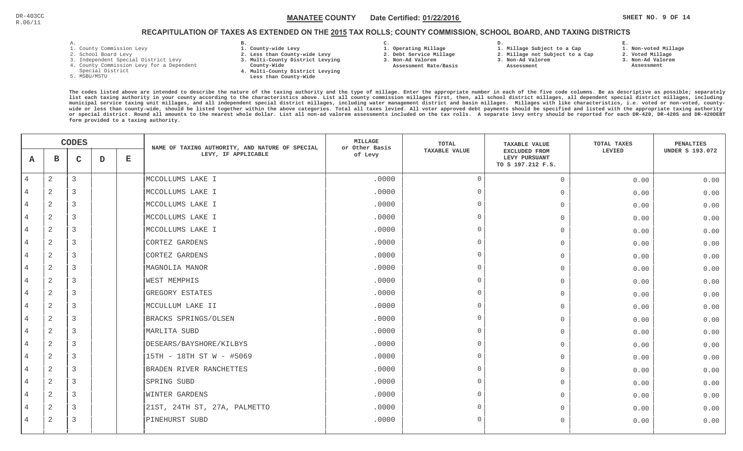**1. Non-voted Millage**

# RECAPITULATION OF TAXES AS EXTENDED ON THE <u>2015</u> TAX ROLLS; COUNTY COMMISSION, SCHOOL BOARD, AND TAXING DISTRICTS

**or special district. Round all amounts to the nearest whole dollar. List all non-ad valorem assessments included on the tax rolls. A separate levy entry should be reported for each DR-420, DR-420S and DR-420DEBT**

- 1. County Commission Levy
- 2. School Board Levy
- 3. Independent Special District Levy

**form provided to a taxing authority.**

- 4. County Commission Levy for a Dependent
- Special District
- 5. MSBU/MSTU
- **B. 1. County-wide Levy**
- **2. Less than County-wide Levy**
- **3. Multi-County District Levying**
- **County-Wide** 
	- **4. Multi-County District Levying Less than County-Wide**
- **C.**
- **1. Operating Millage**
- **2. Debt Service Millage**

**D.** 

- **3. Non-Ad Valorem**
- **Assessment Rate/Basis**
- **1. Millage Subject to a Cap 2. Millage not Subject to a Cap3. Non-Ad Valorem**
	- **Assessment**
- **3. Non-Ad Valorem**

**E.**

- **2. Voted Millage Assessment**
- **The codes listed above are intended to describe the nature of the taxing authority and the type of millage. Enter the appropriate number in each of the five code columns. Be as descriptive as possible; separately list each taxing authority in your county according to the characteristics above. List all county commission millages first, then, all school district millages, all dependent special district millages, including municipal service taxing unit millages, and all independent special district millages, including water management district and basin millages. Millages with like characteristics, i.e. voted or non-voted, countywide or less than county-wide, should be listed together within the above categories. Total all taxes levied. All voter approved debt payments should be specified and listed with the appropriate taxing authority**

|                |                | <b>CODES</b> |   |              | NAME OF TAXING AUTHORITY, AND NATURE OF SPECIAL | MILLAGE<br>or Other Basis | TOTAL                | <b>TAXABLE VALUE</b>                                       | TOTAL TAXES | PENALTIES              |
|----------------|----------------|--------------|---|--------------|-------------------------------------------------|---------------------------|----------------------|------------------------------------------------------------|-------------|------------------------|
| $\mathbf{A}$   | $\mathbf{B}$   | $\mathbf{C}$ | D | $\mathbf{E}$ | LEVY, IF APPLICABLE                             | of Levy                   | <b>TAXABLE VALUE</b> | <b>EXCLUDED FROM</b><br>LEVY PURSUANT<br>TO S 197.212 F.S. | LEVIED      | <b>UNDER S 193.072</b> |
| $\overline{4}$ | $\overline{2}$ | 3            |   |              | MCCOLLUMS LAKE I                                | .0000                     | $\bigcap$            | $\Omega$                                                   | 0.00        | 0.00                   |
| 4              | 2              | 3            |   |              | MCCOLLUMS LAKE I                                | .0000                     | $\Omega$             | $\Omega$                                                   | 0.00        | 0.00                   |
| 4              | 2              | 3            |   |              | MCCOLLUMS LAKE I                                | .0000                     | $\Omega$             | $\Omega$                                                   | 0.00        | 0.00                   |
| 4              | 2              | 3            |   |              | MCCOLLUMS LAKE I                                | .0000                     | $\bigcap$            | $\Omega$                                                   | 0.00        | 0.00                   |
| 4              | 2              | 3            |   |              | MCCOLLUMS LAKE I                                | .0000                     | $\bigcap$            | $\Omega$                                                   | 0.00        | 0.00                   |
| 4              | 2              | 3            |   |              | CORTEZ GARDENS                                  | .0000                     | $\Omega$             | $\circ$                                                    | 0.00        | 0.00                   |
| 4              | 2              | 3            |   |              | CORTEZ GARDENS                                  | .0000                     | $\cap$               | $\circ$                                                    | 0.00        | 0.00                   |
| $\overline{4}$ | 2              | 3            |   |              | MAGNOLIA MANOR                                  | .0000                     | $\cap$               | $\circ$                                                    | 0.00        | 0.00                   |
| 4              | $\sqrt{2}$     | 3            |   |              | <b>WEST MEMPHIS</b>                             | .0000                     | $\cap$               | $\circ$                                                    | 0.00        | 0.00                   |
| $\overline{4}$ | $\sqrt{2}$     | 3            |   |              | <b>GREGORY ESTATES</b>                          | .0000                     | $\Omega$             | $\Omega$                                                   | 0.00        | 0.00                   |
| $\overline{4}$ | 2              | 3            |   |              | MCCULLUM LAKE II                                | .0000                     | $\cap$               | $\Omega$                                                   | 0.00        | 0.00                   |
| 4              | $\overline{2}$ | 3            |   |              | BRACKS SPRINGS/OLSEN                            | .0000                     | $\Omega$             | $\Omega$                                                   | 0.00        | 0.00                   |
| 4              | 2              | 3            |   |              | MARLITA SUBD                                    | .0000                     | $\bigcap$            | $\Omega$                                                   | 0.00        | 0.00                   |
| 4              | 2              | 3            |   |              | DESEARS/BAYSHORE/KILBYS                         | .0000                     | $\Omega$             | $\mathbf 0$                                                | 0.00        | 0.00                   |
| 4              | 2              | 3            |   |              | 15TH - 18TH ST W - #5069                        | .0000                     | $\cap$               | $\circ$                                                    | 0.00        | 0.00                   |
| 4              | 2              | 3            |   |              | BRADEN RIVER RANCHETTES                         | .0000                     | $\cap$               | $\circ$                                                    | 0.00        | 0.00                   |
| $\overline{4}$ | $\sqrt{2}$     | 3            |   |              | SPRING SUBD                                     | .0000                     | $\cap$               | $\circ$                                                    | 0.00        | 0.00                   |
| $\overline{4}$ | $\overline{2}$ | 3            |   |              | <b>WINTER GARDENS</b>                           | .0000                     | $\Omega$             | $\Omega$                                                   | 0.00        | 0.00                   |
| 4              | 2              | 3            |   |              | 21ST, 24TH ST, 27A, PALMETTO                    | .0000                     | $\cap$               | $\Omega$                                                   | 0.00        | 0.00                   |
| 4              | 2              | 3            |   |              | PINEHURST SUBD                                  | .0000                     | $\Omega$             | $\Omega$                                                   | 0.00        | 0.00                   |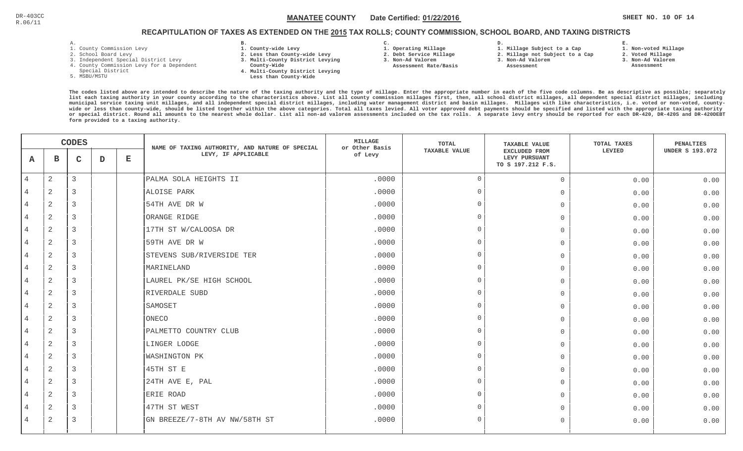### RECAPITULATION OF TAXES AS EXTENDED ON THE <u>2015</u> TAX ROLLS; COUNTY COMMISSION, SCHOOL BOARD, AND TAXING DISTRICTS

- 1. County Commission Levy
- 2. School Board Levy
- 3. Independent Special District Levy
- 4. County Commission Levy for a Dependent
- Special District
- 5. MSBU/MSTU
- **B. 1. County-wide Levy**
- **2. Less than County-wide Levy**
- **3. Multi-County District Levying**
- **County-Wide** 
	- **4. Multi-County District Levying Less than County-Wide**

**C.** 

 **2. Debt Service Millage 3. Non-Ad Valorem Assessment Rate/Basis**

- **1. Operating Millage**
- **1. Millage Subject to a Cap**

**D.** 

- **2. Millage not Subject to a Cap3. Non-Ad Valorem**
	- **Assessment**
- -
- **2. Voted Millage 3. Non-Ad Valorem Assessment**

**1. Non-voted Millage**

**E.**

|                | <b>CODES</b> |              |   | NAME OF TAXING AUTHORITY, AND NATURE OF SPECIAL | <b>MILLAGE</b><br>or Other Basis | TOTAL   | <b>TAXABLE VALUE</b> | TOTAL TAXES                                         | PENALTIES |                        |
|----------------|--------------|--------------|---|-------------------------------------------------|----------------------------------|---------|----------------------|-----------------------------------------------------|-----------|------------------------|
| A              | в            | $\mathbf{C}$ | D | Е                                               | LEVY, IF APPLICABLE              | of Levy | <b>TAXABLE VALUE</b> | EXCLUDED FROM<br>LEVY PURSUANT<br>TO S 197.212 F.S. | LEVIED    | <b>UNDER S 193.072</b> |
| $\overline{4}$ | 2            | 3            |   |                                                 | PALMA SOLA HEIGHTS II            | .0000   | $\overline{0}$       | $\overline{0}$                                      | 0.00      | 0.00                   |
| 4              | 2            | 3            |   |                                                 | ALOISE PARK                      | .0000   | $\Omega$             | $\Omega$                                            | 0.00      | 0.00                   |
| 4              | 2            | 3            |   |                                                 | 54TH AVE DR W                    | .0000   | $\cap$               | $\Omega$                                            | 0.00      | 0.00                   |
| 4              | 2            | 3            |   |                                                 | ORANGE RIDGE                     | .0000   | $\Omega$             | $\Omega$                                            | 0.00      | 0.00                   |
| 4              | 2            | 3            |   |                                                 | 17TH ST W/CALOOSA DR             | .0000   | $\cap$               | $\Omega$                                            | 0.00      | 0.00                   |
| 4              | 2            | 3            |   |                                                 | 59TH AVE DR W                    | .0000   | $\bigcap$            | $\Omega$                                            | 0.00      | 0.00                   |
| $\overline{4}$ | 2            | 3            |   |                                                 | STEVENS SUB/RIVERSIDE TER        | .0000   | $\bigcap$            | $\Omega$                                            | 0.00      | 0.00                   |
| $\overline{4}$ | 2            | 3            |   |                                                 | MARINELAND                       | .0000   | $\Omega$             | $\Omega$                                            | 0.00      | 0.00                   |
| 4              | 2            | 3            |   |                                                 | LAUREL PK/SE HIGH SCHOOL         | .0000   | $\Omega$             | $\Omega$                                            | 0.00      | 0.00                   |
| 4              | $\sqrt{2}$   | 3            |   |                                                 | RIVERDALE SUBD                   | .0000   | $\bigcap$            | $\Omega$                                            | 0.00      | 0.00                   |
| 4              | 2            | 3            |   |                                                 | SAMOSET                          | .0000   | $\cap$               | $\Omega$                                            | 0.00      | 0.00                   |
| $\overline{4}$ | $\sqrt{2}$   | 3            |   |                                                 | ONECO                            | .0000   | $\bigcap$            | $\Omega$                                            | 0.00      | 0.00                   |
| $\overline{4}$ | 2            | 3            |   |                                                 | PALMETTO COUNTRY CLUB            | .0000   | $\bigcap$            | $\Omega$                                            | 0.00      | 0.00                   |
| 4              | 2            | 3            |   |                                                 | LINGER LODGE                     | .0000   | $\bigcap$            | $\Omega$                                            | 0.00      | 0.00                   |
| $\overline{4}$ | $\sqrt{2}$   | 3            |   |                                                 | WASHINGTON PK                    | .0000   | $\Omega$             | $\Omega$                                            | 0.00      | 0.00                   |
| 4              | 2            | 3            |   |                                                 | 45TH ST E                        | .0000   | $\cap$               | $\overline{0}$                                      | 0.00      | 0.00                   |
| 4              | $\sqrt{2}$   | 3            |   |                                                 | 24TH AVE E, PAL                  | .0000   | $\Omega$             | $\Omega$                                            | 0.00      | 0.00                   |
| 4              | 2            | 3            |   |                                                 | ERIE ROAD                        | .0000   | $\cap$               | $\Omega$                                            | 0.00      | 0.00                   |
| 4              | 2            | 3            |   |                                                 | 47TH ST WEST                     | .0000   | $\Omega$             | $\cap$                                              | 0.00      | 0.00                   |
| 4              | 2            | 3            |   |                                                 | GN BREEZE/7-8TH AV NW/58TH ST    | .0000   | $\overline{0}$       | $\Omega$                                            | 0.00      | 0.00                   |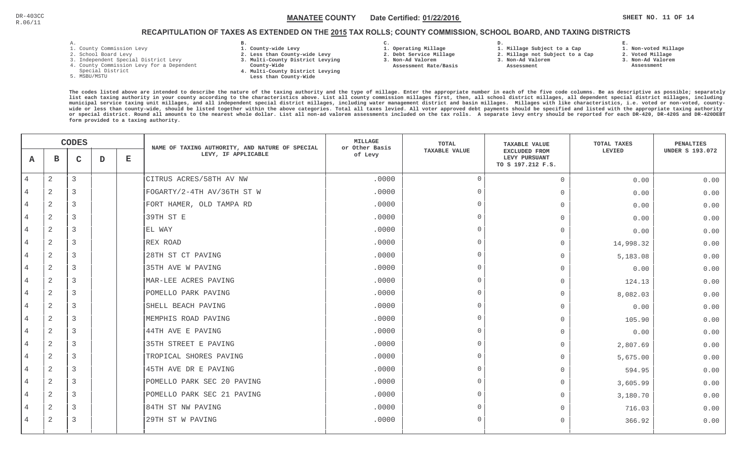### $\mathbb C$  and the state of the MANATEE COUNTY bate Certified: <u>01/22/2016</u> and the state of the state of  $\mathbb R$  is the state of  $\mathbb R$ MANATEE CO

**1. Non-voted Millage**

### RECAPITULATION OF TAXES AS EXTENDED ON THE <u>2015</u> TAX ROLLS; COUNTY COMMISSION, SCHOOL BOARD, AND TAXING DISTRICTS

- 1. County Commission Levy
- 2. School Board Levy
- 3. Independent Special District Levy
- 4. County Commission Levy for a Dependent
- Special District
- 5. MSBU/MSTU
- **B. 1. County-wide Levy**
- **2. Less than County-wide Levy**
- **3. Multi-County District Levying**
- **County-Wide** 
	- **4. Multi-County District Levying Less than County-Wide**
- **C. 3. Non-Ad Valorem**

**2. Debt Service Millage** 

 **Assessment Rate/Basis**

- **1. Operating Millage**
- **1. Millage Subject to a Cap**

**D.** 

- **2. Millage not Subject to a Cap3. Non-Ad Valorem**
	- **Assessment**
- 
- **3. Non-Ad Valorem**

**E.**

**2. Voted Millage Assessment**

|                |                | <b>CODES</b>   |   |             | NAME OF TAXING AUTHORITY, AND NATURE OF SPECIAL | <b>MILLAGE</b><br>or Other Basis | TOTAL                | <b>TAXABLE VALUE</b>                                       | TOTAL TAXES | <b>PENALTIES</b>       |
|----------------|----------------|----------------|---|-------------|-------------------------------------------------|----------------------------------|----------------------|------------------------------------------------------------|-------------|------------------------|
| Α              | в              | $\mathbf C$    | D | $\mathbf E$ | LEVY, IF APPLICABLE                             | of Levy                          | <b>TAXABLE VALUE</b> | <b>EXCLUDED FROM</b><br>LEVY PURSUANT<br>TO S 197.212 F.S. | LEVIED      | <b>UNDER S 193.072</b> |
| $\overline{4}$ | $\mathbf{2}$   | 3              |   |             | CITRUS ACRES/58TH AV NW                         | .0000                            | $\Omega$             | $\overline{0}$                                             | 0.00        | 0.00                   |
|                | $\overline{2}$ | 3              |   |             | FOGARTY/2-4TH AV/36TH ST W                      | .0000                            | $\cap$               | $\overline{0}$                                             | 0.00        | 0.00                   |
|                | $\sqrt{2}$     | 3              |   |             | FORT HAMER, OLD TAMPA RD                        | .0000                            | $\cap$               | $\mathbf 0$                                                | 0.00        | 0.00                   |
| $\overline{4}$ | $\overline{2}$ | $\overline{3}$ |   |             | 39TH ST E                                       | .0000                            | $\cap$               | $\Omega$                                                   | 0.00        | 0.00                   |
|                | $\overline{2}$ | 3              |   |             | EL WAY                                          | .0000                            | $\Omega$             | $\bigcap$                                                  | 0.00        | 0.00                   |
| $\overline{4}$ | 2              | $\overline{3}$ |   |             | REX ROAD                                        | .0000                            | $\Omega$             | $\Omega$                                                   | 14,998.32   | 0.00                   |
|                | $\overline{a}$ | 3              |   |             | 28TH ST CT PAVING                               | .0000                            | $\cap$               | $\Omega$                                                   | 5,183.08    | 0.00                   |
|                | 2              | 3              |   |             | 35TH AVE W PAVING                               | .0000                            | $\cap$               | $\Omega$                                                   | 0.00        | 0.00                   |
|                | $\sqrt{2}$     | 3              |   |             | MAR-LEE ACRES PAVING                            | .0000                            | $\cap$               | $\overline{0}$                                             | 124.13      | 0.00                   |
|                | 2              | 3              |   |             | POMELLO PARK PAVING                             | .0000                            | $\cap$               | $\overline{0}$                                             | 8,082.03    | 0.00                   |
| $\overline{4}$ | 2              | $\overline{3}$ |   |             | SHELL BEACH PAVING                              | .0000                            | $\Omega$             | $\overline{0}$                                             | 0.00        | 0.00                   |
| $\overline{4}$ | $\mathbf{2}$   | 3              |   |             | MEMPHIS ROAD PAVING                             | .0000                            | $\Omega$             | $\Omega$                                                   | 105.90      | 0.00                   |
|                | $\overline{a}$ | $\overline{3}$ |   |             | 44TH AVE E PAVING                               | .0000                            | $\cap$               | $\cap$                                                     | 0.00        | 0.00                   |
|                | 2              | 3              |   |             | 35TH STREET E PAVING                            | .0000                            | $\cap$               | $\Omega$                                                   | 2,807.69    | 0.00                   |
|                | 2              | 3              |   |             | TROPICAL SHORES PAVING                          | .0000                            |                      | $\overline{0}$                                             | 5,675.00    | 0.00                   |
|                | $\overline{2}$ | 3              |   |             | 45TH AVE DR E PAVING                            | .0000                            | $\cap$               | $\Omega$                                                   | 594.95      | 0.00                   |
|                | 2              | 3              |   |             | POMELLO PARK SEC 20 PAVING                      | .0000                            | $\cap$               | $\overline{0}$                                             | 3,605.99    | 0.00                   |
| $\overline{4}$ | $\overline{2}$ | 3              |   |             | POMELLO PARK SEC 21 PAVING                      | .0000                            | $\Omega$             | $\mathbf 0$                                                | 3,180.70    | 0.00                   |
|                | 2              | $\overline{3}$ |   |             | 84TH ST NW PAVING                               | .0000                            | $\Omega$             | $\Omega$                                                   | 716.03      | 0.00                   |
| 4              | 2              | 3              |   |             | 29TH ST W PAVING                                | .0000                            | $\cap$               | $\Omega$                                                   | 366.92      | 0.00                   |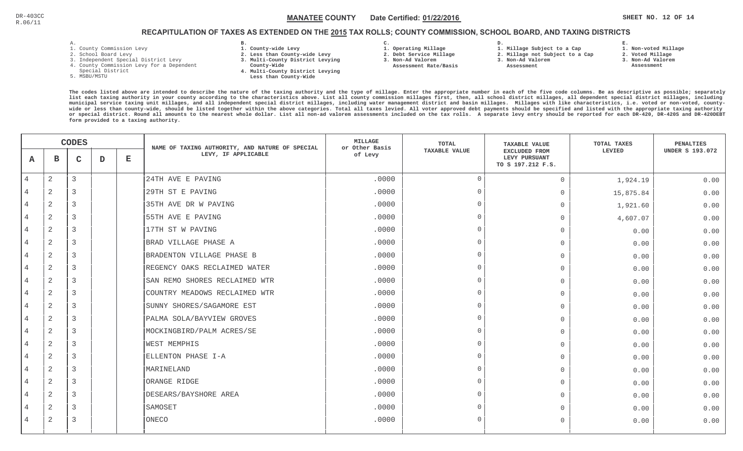### $\texttt{MANATEE COUNTY} \qquad$  Date Certified:  $\underline{\texttt{01/22/2016}}$   $\texttt{N212016}$   $\texttt{N313016}$   $\texttt{SHEET NO. 12 OF 14}$ MANATEE CO

## RECAPITULATION OF TAXES AS EXTENDED ON THE <u>2015</u> TAX ROLLS; COUNTY COMMISSION, SCHOOL BOARD, AND TAXING DISTRICTS

- 1. County Commission Levy
- 2. School Board Levy
- 3. Independent Special District Levy
- 4. County Commission Levy for a Dependent
- Special District
- 5. MSBU/MSTU
- **B. 1. County-wide Levy**
- **2. Less than County-wide Levy**
- **3. Multi-County District Levying**
- **County-Wide** 
	- **4. Multi-County District Levying Less than County-Wide**
- **C. 3. Non-Ad Valorem**

**2. Debt Service Millage** 

 **Assessment Rate/Basis**

- **1. Operating Millage** 
	- **1. Millage Subject to a Cap**

**D.** 

- **2. Millage not Subject to a Cap3. Non-Ad Valorem**
	- **Assessment**
- **2. Voted Millage**

**E.**

- **3. Non-Ad Valorem**
- **Assessment**

**1. Non-voted Millage**

|                | <b>CODES</b>   |                |   | NAME OF TAXING AUTHORITY, AND NATURE OF SPECIAL | <b>MILLAGE</b><br>or Other Basis | <b>TOTAL</b> | <b>TAXABLE VALUE</b> | TOTAL TAXES                                         | <b>PENALTIES</b> |                        |
|----------------|----------------|----------------|---|-------------------------------------------------|----------------------------------|--------------|----------------------|-----------------------------------------------------|------------------|------------------------|
| A              | в              | $\mathsf{C}$   | D | $\mathbf E$                                     | LEVY, IF APPLICABLE              | of Levy      | <b>TAXABLE VALUE</b> | EXCLUDED FROM<br>LEVY PURSUANT<br>TO S 197.212 F.S. | LEVIED           | <b>UNDER S 193.072</b> |
| $\overline{4}$ | $\overline{a}$ | 3              |   |                                                 | 24TH AVE E PAVING                | .0000        | $\Omega$             | $\overline{0}$                                      | 1,924.19         | 0.00                   |
|                | $\overline{2}$ | 3              |   |                                                 | 29TH ST E PAVING                 | .0000        | $\Omega$             | $\mathbf 0$                                         | 15,875.84        | 0.00                   |
| $\overline{4}$ | 2              | 3              |   |                                                 | 35TH AVE DR W PAVING             | .0000        | $\Omega$             | $\mathbf{0}$                                        | 1,921.60         | 0.00                   |
| $\overline{4}$ | $\overline{2}$ | 3              |   |                                                 | 55TH AVE E PAVING                | .0000        | $\Omega$             | $\Omega$                                            | 4,607.07         | 0.00                   |
| $\overline{4}$ | $\overline{2}$ | $\overline{3}$ |   |                                                 | 17TH ST W PAVING                 | .0000        | $\Omega$             | $\overline{0}$                                      | 0.00             | 0.00                   |
| 4              | 2              | 3              |   |                                                 | BRAD VILLAGE PHASE A             | .0000        | $\cap$               | $\mathbf{0}$                                        | 0.00             | 0.00                   |
| 4              | 2              | 3              |   |                                                 | BRADENTON VILLAGE PHASE B        | .0000        | $\cap$               | $\mathbf{0}$                                        | 0.00             | 0.00                   |
| 4              | $\overline{2}$ | $\overline{3}$ |   |                                                 | REGENCY OAKS RECLAIMED WATER     | .0000        | $\cap$               | $\mathbf{0}$                                        | 0.00             | 0.00                   |
| 4              | $\overline{2}$ | 3              |   |                                                 | SAN REMO SHORES RECLAIMED WTR    | .0000        | $\Omega$             | $\mathbf{0}$                                        | 0.00             | 0.00                   |
| $\overline{4}$ | 2              | 3              |   |                                                 | COUNTRY MEADOWS RECLAIMED WTR    | .0000        | $\Omega$             | $\mathbf{0}$                                        | 0.00             | 0.00                   |
| $\overline{4}$ | $\overline{2}$ | 3              |   |                                                 | SUNNY SHORES/SAGAMORE EST        | .0000        | $\Omega$             | $\mathbf 0$                                         | 0.00             | 0.00                   |
| 4              | $\overline{a}$ | 3              |   |                                                 | PALMA SOLA/BAYVIEW GROVES        | .0000        | $\Omega$             | $\overline{0}$                                      | 0.00             | 0.00                   |
| $\overline{4}$ | $\overline{2}$ | 3              |   |                                                 | MOCKINGBIRD/PALM ACRES/SE        | .0000        | $\Omega$             | $\mathbf{0}$                                        | 0.00             | 0.00                   |
| 4              | 2              | 3              |   |                                                 | <b>WEST MEMPHIS</b>              | .0000        | $\cap$               | $\mathbf 0$                                         | 0.00             | 0.00                   |
| 4              | 2              | 3              |   |                                                 | ELLENTON PHASE I-A               | .0000        | $\cap$               | $\mathbf{0}$                                        | 0.00             | 0.00                   |
| 4              | $\overline{2}$ | 3              |   |                                                 | MARINELAND                       | .0000        | $\cap$               | $\mathbf{0}$                                        | 0.00             | 0.00                   |
| $\overline{4}$ | 2              | 3              |   |                                                 | ORANGE RIDGE                     | .0000        | $\Omega$             | $\mathbf{0}$                                        | 0.00             | 0.00                   |
| $\overline{4}$ | 2              | 3              |   |                                                 | DESEARS/BAYSHORE AREA            | .0000        | $\Omega$             | $\mathbf{0}$                                        | 0.00             | 0.00                   |
|                | 2              | 3              |   |                                                 | SAMOSET                          | .0000        | $\Omega$             | $\bigcap$                                           | 0.00             | 0.00                   |
| 4              | $\overline{2}$ | 3              |   |                                                 | ONECO                            | .0000        | $\Omega$             | $\mathbf{0}$                                        | 0.00             | 0.00                   |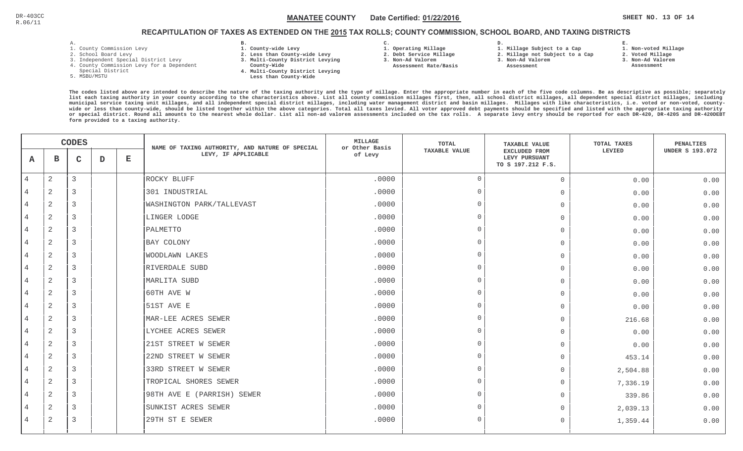### $\mathbb{N}$  **MANATEE COUNTY** and  $\blacksquare$  Date Certified:  $\mathsf{01/22/2016}$  and  $\blacksquare$   $\blacksquare$  the sharper  $\blacksquare$  sheet no. 13 of 14 MANATEE CO

### RECAPITULATION OF TAXES AS EXTENDED ON THE <u>2015</u> TAX ROLLS; COUNTY COMMISSION, SCHOOL BOARD, AND TAXING DISTRICTS

- 1. County Commission Levy
- 2. School Board Levy
- 3. Independent Special District Levy
- 4. County Commission Levy for a Dependent
- Special District
- 5. MSBU/MSTU
- **B. 1. County-wide Levy**
- **2. Less than County-wide Levy**
- **3. Multi-County District Levying**
- **County-Wide** 
	- **4. Multi-County District Levying Less than County-Wide**

**C.** 

 **2. Debt Service Millage 3. Non-Ad Valorem Assessment Rate/Basis**

- **1. Operating Millage**
- **1. Millage Subject to a Cap**

**D.** 

- **2. Millage not Subject to a Cap**
- **3. Non-Ad Valorem**
	- **Assessment**

**1. Non-voted Millage**

**E.**

- **2. Voted Millage**
- **3. Non-Ad Valorem**
- **Assessment**

| <b>CODES</b>   |                |   | NAME OF TAXING AUTHORITY, AND NATURE OF SPECIAL | <b>MILLAGE</b><br>or Other Basis | <b>TOTAL</b>               | <b>TAXABLE VALUE</b>            | TOTAL TAXES    | PENALTIES                                                  |          |                        |
|----------------|----------------|---|-------------------------------------------------|----------------------------------|----------------------------|---------------------------------|----------------|------------------------------------------------------------|----------|------------------------|
| A              | $\mathbf{B}$   | C | D                                               | Е                                | LEVY, IF APPLICABLE        | <b>TAXABLE VALUE</b><br>of Levy |                | <b>EXCLUDED FROM</b><br>LEVY PURSUANT<br>TO S 197.212 F.S. | LEVIED   | <b>UNDER S 193.072</b> |
| 4              | 2              | 3 |                                                 |                                  | ROCKY BLUFF                | .0000                           | $\overline{0}$ | $\mathsf{O}$                                               | 0.00     | 0.00                   |
| 4              | 2              | 3 |                                                 |                                  | 301 INDUSTRIAL             | .0000                           | $\overline{0}$ | $\overline{0}$                                             | 0.00     | 0.00                   |
| 4              | 2              | 3 |                                                 |                                  | WASHINGTON PARK/TALLEVAST  | .0000                           | $\Omega$       | $\Omega$                                                   | 0.00     | 0.00                   |
| 4              | 2              | 3 |                                                 |                                  | LINGER LODGE               | .0000                           | $\overline{0}$ | $\Omega$                                                   | 0.00     | 0.00                   |
| 4              | 2              | 3 |                                                 |                                  | PALMETTO                   | .0000                           | $\Omega$       | $\mathbf 0$                                                | 0.00     | 0.00                   |
| 4              | 2              | 3 |                                                 |                                  | BAY COLONY                 | .0000                           | $\overline{0}$ | $\bigcap$                                                  | 0.00     | 0.00                   |
| 4              | 2              | 3 |                                                 |                                  | <b>WOODLAWN LAKES</b>      | .0000                           | $\Omega$       | $\overline{0}$                                             | 0.00     | 0.00                   |
| 4              | 2              | 3 |                                                 |                                  | RIVERDALE SUBD             | .0000                           | $\overline{0}$ | $\mathbf 0$                                                | 0.00     | 0.00                   |
| 4              | 2              | 3 |                                                 |                                  | MARLITA SUBD               | .0000                           | $\Omega$       | $\overline{0}$                                             | 0.00     | 0.00                   |
| $\overline{4}$ | 2              | 3 |                                                 |                                  | 60TH AVE W                 | .0000                           | $\Omega$       | $\bigcap$                                                  | 0.00     | 0.00                   |
| $\overline{4}$ | $\mathbf{2}$   | 3 |                                                 |                                  | 51ST AVE E                 | .0000                           | $\Omega$       | $\Omega$                                                   | 0.00     | 0.00                   |
| 4              | $\mathbf{2}$   | 3 |                                                 |                                  | MAR-LEE ACRES SEWER        | .0000                           | $\Omega$       | $\Omega$                                                   | 216.68   | 0.00                   |
| $\overline{4}$ | 2              | 3 |                                                 |                                  | LYCHEE ACRES SEWER         | .0000                           | $\Omega$       | $\Omega$                                                   | 0.00     | 0.00                   |
|                | 2              | 3 |                                                 |                                  | 21ST STREET W SEWER        | .0000                           | $\Omega$       | $\Omega$                                                   | 0.00     | 0.00                   |
| 4              | 2              | 3 |                                                 |                                  | 22ND STREET W SEWER        | .0000                           | $\overline{0}$ | $\overline{0}$                                             | 453.14   | 0.00                   |
| 4              | 2              | 3 |                                                 |                                  | 33RD STREET W SEWER        | .0000                           | $\Omega$       | $\Omega$                                                   | 2,504.88 | 0.00                   |
| 4              | $\mathbf{2}$   | 3 |                                                 |                                  | TROPICAL SHORES SEWER      | .0000                           | $\Omega$       | $\Omega$                                                   | 7,336.19 | 0.00                   |
| 4              | 2              | 3 |                                                 |                                  | 98TH AVE E (PARRISH) SEWER | .0000                           | $\Omega$       | $\Omega$                                                   | 339.86   | 0.00                   |
| 4              | $\overline{2}$ | 3 |                                                 |                                  | SUNKIST ACRES SEWER        | .0000                           | $\overline{0}$ | $\Omega$                                                   | 2,039.13 | 0.00                   |
| 4              | 2              | 3 |                                                 |                                  | 29TH ST E SEWER            | .0000                           | $\Omega$       | $\Omega$                                                   | 1,359.44 | 0.00                   |